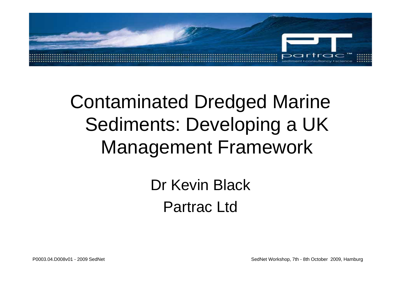

# Contaminated Dredged Marine Sediments: Developing a UK Management Framework

Dr Kevin Black Partrac Ltd

SedNet Workshop, 7th - 8th October 2009, Hamburg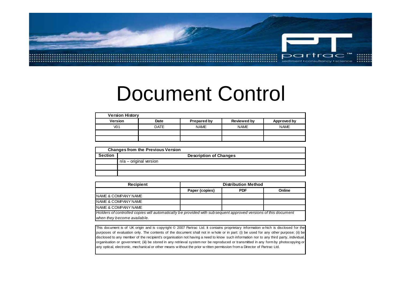

# Document Control

| <b>Version History</b> |      |             |                    |             |
|------------------------|------|-------------|--------------------|-------------|
| Version                | Date | Prepared by | <b>Reviewed by</b> | Approved by |
| V <sub>0</sub> 1       | DATE | <b>NAME</b> | <b>NAME</b>        | <b>NAME</b> |
|                        |      |             |                    |             |
|                        |      |             |                    |             |

|                | <b>Changes from the Previous Version</b> |
|----------------|------------------------------------------|
| <b>Section</b> | <b>Description of Changes</b>            |
|                | $n/a$ – original version                 |
|                |                                          |
|                |                                          |

| <b>Recipient</b>                                                                                               |                | <b>Distribution Method</b> |        |
|----------------------------------------------------------------------------------------------------------------|----------------|----------------------------|--------|
|                                                                                                                | Paper (copies) | <b>PDF</b>                 | Online |
| <b>INAME &amp; COMPANY NAME</b>                                                                                |                |                            |        |
| <b>INAME &amp; COMPANY NAME</b>                                                                                |                |                            |        |
| INAME & COMPANY NAME                                                                                           |                |                            |        |
| Holders of controlled copies will automatically be provided with subsequent approved versions of this document |                |                            |        |
| when they become available.                                                                                    |                |                            |        |

This document is of UK origin and is copyright © 2007 Partrac Ltd. It contains proprietary information <sup>w</sup> hich is disclosed for the purposes of evaluation only. The contents of the document shall not in <sup>w</sup> hole or in part: (i) be used for any other purpose; (ii) be disclosed to any member of the recipient's organisation not having <sup>a</sup> need to know such information nor to any third party, individual, organisation or government; (iii) be stored in any retrieval system nor be reproduced or transmitted in any form by photocopying or any optical, electronic, mechanical or other means w ithout the prior w ritten permission from a Director of Partrac Ltd.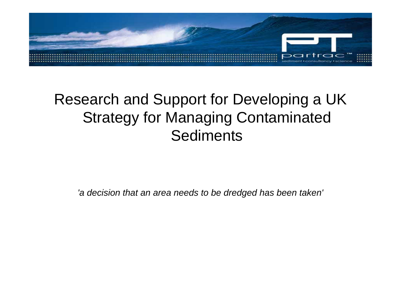

# Research and Support for Developing a UK Strategy for Managing Contaminated **Sediments**

*'a decision that an area needs to be dredged has been taken'*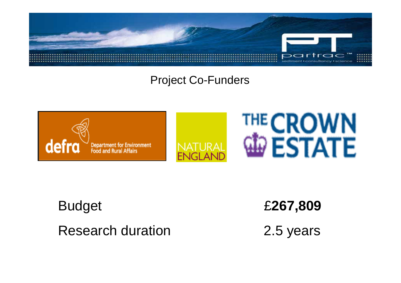

# Project Co-Funders



# Budget Research duration 2.5 years

£**267,809**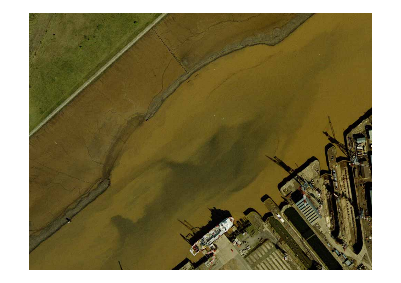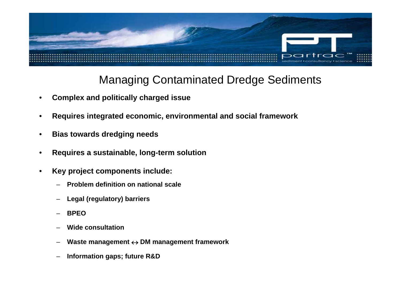

# Managing Contaminated Dredge Sediments

- **Complex and politically charged issue**
- **Requires integrated economic, environmental and social framework**
- **Bias towards dredging needs**
- **Requires a sustainable, long-term solution**
- **Key project components include:**
	- **Problem definition on national scale**
	- **Legal (regulatory) barriers**
	- **BPEO**
	- **Wide consultation**
	- **Waste management**  ↔ **DM management framework**
	- **Information gaps; future R&D**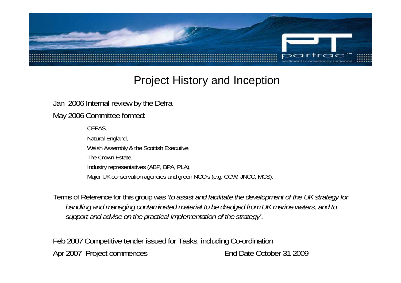

# Project History and Inception

Jan 2006 Internal review by the Defra May 2006 Committee formed:

> CEFAS, Natural England, Welsh Assembly & the Scottish Executive, The Crown Estate, Industry representatives (ABP, BPA, PLA), Major UK conservation agencies and green NGO's (e.g. CCW, JNCC, MCS).

Terms of Reference for this group was *'to assist and facilitate the development of the UK strategy for handling and managing contaminated material to be dredged from UK marine waters, and to support and advise on the practical implementation of the strategy'*.

Feb 2007 Competitive tender issued for Tasks, including Co-ordination Apr 2007 Project commences End Date October 31 2009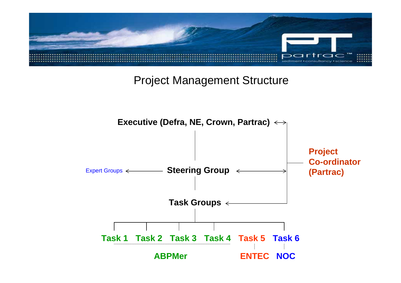

# Project Management Structure

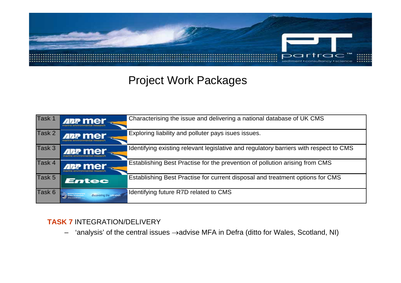

# Project Work Packages

| Task 1 | ABP mer                 | Characterising the issue and delivering a national database of UK CMS                 |
|--------|-------------------------|---------------------------------------------------------------------------------------|
| Task 2 | <b>ABP mer</b>          | Exploring liability and polluter pays isues issues.                                   |
| Task 3 | <b>ABP Mer-</b>         | Identifying existing relevant legislative and regulatory barriers with respect to CMS |
| Task 4 | <b>ABP Mer-</b>         | Establishing Best Practise for the prevention of pollution arising from CMS           |
| Task 5 | <b>Entec</b>            | Establishing Best Practise for current disposal and treatment options for CMS         |
| Task 6 | discovering the unknown | Identifying future R7D related to CMS                                                 |

### **TASK 7** INTEGRATION/DELIVERY

– 'analysis' of the central issues →advise MFA in Defra (ditto for Wales, Scotland, NI)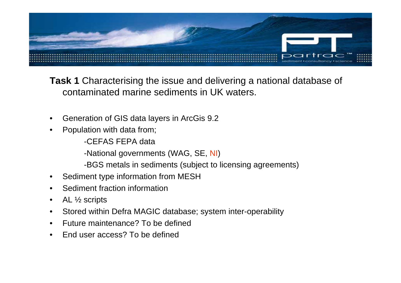

**Task 1** Characterising the issue and delivering a national database of contaminated marine sediments in UK waters.

- Generation of GIS data layers in ArcGis 9.2
- Population with data from;
	- -CEFAS FEPA data
	- -National governments (WAG, SE, NI)
	- -BGS metals in sediments (subject to licensing agreements)
- Sediment type information from MESH
- Sediment fraction information
- AL  $\frac{1}{2}$  scripts
- Stored within Defra MAGIC database; system inter-operability
- Future maintenance? To be defined
- End user access? To be defined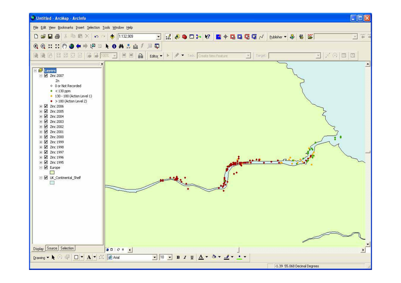

-1.39 55.068 Decimal Degrees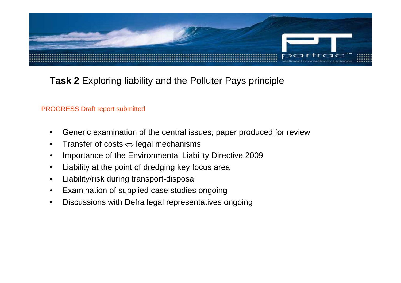

# **Task 2** Exploring liability and the Polluter Pays principle

### PROGRESS Draft report submitted

- Generic examination of the central issues; paper produced for review
- $\bullet$   $\;\;$  Transfer of costs  $\Leftrightarrow$  legal mechanisms
- Importance of the Environmental Liability Directive 2009
- Liability at the point of dredging key focus area
- Liability/risk during transport-disposal
- Examination of supplied case studies ongoing
- Discussions with Defra legal representatives ongoing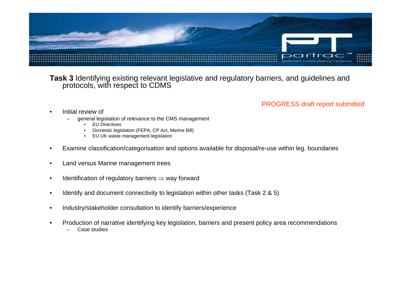

### **Task 3** Identifying existing relevant legislative and regulatory barriers, and guidelines and protocols, with respect to CDMS

### PROGRESS draft report submitted

- Initial review of
	- general legislation of relevance to the CMS management
		- **EU Directives**
		- Domestic legislation (FEPA, CP Act, Marine Bill)
		- EU UK waste management legislation
- Examine classification/categorisation and options available for disposal/re-use within leg. boundaries
- Land versus Marine management trees
- Identification of regulatory barriers  $\Rightarrow$  way forward
- Identify and document connectivity to legislation within other tasks (Task 2 & 5)
- Industry/stakeholder consultation to identify barriers/experience
- Production of narrative identifying key legislation, barriers and present policy area recommendations
	- Case studies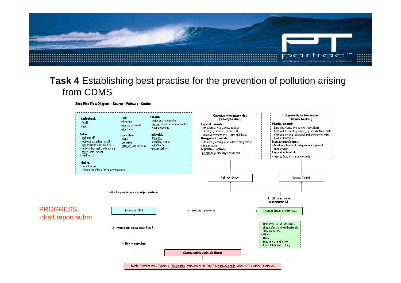

## **Task 4** Establishing best practise for the prevention of pollution arising from CDMS

Simplified Flow Diagram - Source - Pathway - Control

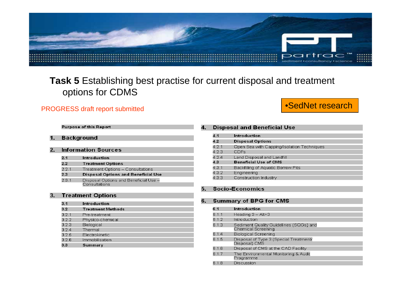

## **Task 5** Establishing best practise for current disposal and treatment options for CDMS

# PROGRESS draft report submitted example of the set of the set of the Second of the Second of the Second of the Second of the Second of the Second of the Second of the Second of the Second of the Second of the Second of the

### **Purpose of this Report**

#### **Background** 1.

#### **Information Sources**  $\mathbf{2}$

| 2.1   | Introduction                               |
|-------|--------------------------------------------|
| 2.2   | <b>Treatment Options</b>                   |
| 2.2.1 | Treatment Options - Consultations          |
| 2.3   | <b>Disposal Options and Beneficial Use</b> |
| 2.3.1 | Disposal Options and Beneficial Use -      |
|       | Consultations                              |

#### **Treatment Options** 3.

| 3.1   | Introduction             |
|-------|--------------------------|
| 3.2   | <b>Treatment Methods</b> |
| 3.2.1 | Pre-treatment            |
| 3.2.2 | Physico-chemical         |
| 3.2.3 | Biological               |
| 3.2.4 | Thermal                  |
| 3.2.5 | Electrokinetic           |
| 32 B  | Immobilisation           |
| 3.3   | Summary                  |

#### **Disposal and Beneficial Use** 4.

| 4.1   | Introduction                               |
|-------|--------------------------------------------|
| 4.2   | <b>Disposal Options</b>                    |
| 4.2.1 | Open Sea with Capping/Isolation Techniques |
| 4.2.3 | <b>CDFs</b>                                |
| 4.2.4 | Land Disposal and Landfill                 |
| 4.3   | <b>Beneficial Use of CMS</b>               |
| 4.3.1 | Backfilling of Aquatic Borrow Pits         |
| 4.3.2 | Engineering                                |
| 4.3.3 | Construction Industry                      |

### **Socio-Economics**  $5<sub>1</sub>$

6.

|       | <b>Summary of BPG for CMS</b>                                |
|-------|--------------------------------------------------------------|
| 6.1   | Introduction                                                 |
| 6.1.1 | Heading $3 - Alt + 3$                                        |
| 6.1.2 | Introduction                                                 |
| 6.1.3 | Sediment Quality Guidelines (SQGs) and<br>Chemical Screening |
| 6.1.4 | <b>Biological Screening</b>                                  |
| 6.1.5 | Disposal of Type 3 (Special Treatment/<br>Disposal) CMS      |
| 6.1.6 | Disposal of CMS at the CAD Facility                          |
| 6.1.7 | The Environmental Monitoring & Audit<br>Programme            |
| .1.8  | Discussion                                                   |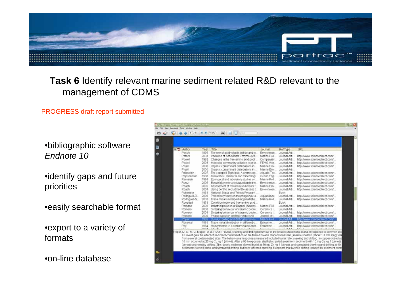

## **Task 6** Identify relevant marine sediment related R&D relevant to the management of CDMS

### PROGRESS draft report submitted

•bibliographic software *Endnote 10*

- •identify gaps and future priorities
- •easily searchable format

•export to a variety of formats

•on-line database

| <b>B TO</b> Author  | Year                 | Title                                                                                       | <b>Journal</b>              | Ref Type                          | URL                                                                                              |
|---------------------|----------------------|---------------------------------------------------------------------------------------------|-----------------------------|-----------------------------------|--------------------------------------------------------------------------------------------------|
| Pesch<br>Peters     | 1995<br>2001         | The role of acid-volatile sulfide and in                                                    | Environmen.<br>Marine Poll. | Journal Art<br>Journal Arti       | http://www.sciencedirect.com/                                                                    |
|                     |                      | Variation of Antickidant Enzyme Act:                                                        |                             |                                   |                                                                                                  |
| Powell              | 1982                 | Changes in the free amino acid pool                                                         | Comparativ.                 | Journel Arti.                     | http://www.sciencedirect.com/                                                                    |
| Powell<br>Pruoli    | 2003<br>2000         | Microbial community variation in prist.                                                     | FEMS Micr.<br>Marine Envi.  | Journal Art<br>Journal Arti.      | http://www.sciencedirect.com/                                                                    |
| Pruell              | 2000                 | Organic contaminant distributions in                                                        | Marine Envi.                | Journal Arti                      | http://www.sciencedirect.com/                                                                    |
| Raisuddin           | 2007                 | Organic contaminant distributions in<br>The copepod Tigriopus: A promising                  | Aquatic Tox.                | Journal Art                       | http://www.sciencedirect.com/                                                                    |
| Rajasekaran         | 1998                 | Microfabric, chemical and mineralogi                                                        | Ocean Engi                  | Journal Arti.                     | http://www.sciencedirect.com/                                                                    |
| Ramaiah             | 1993                 | Ecological and laboratory studies on                                                        | Marine Poll.                | Journal Arti.                     | http://www.sciencedirect.com/                                                                    |
| Rentz               | 2005                 | Benzo(alpyrene co-metabolism in the                                                         | Environmen.                 | Journal Arti                      | http://www.sciencedirect.com/                                                                    |
| Roach               | 2005                 | Assessment of metals in sediments f.                                                        | Marine Erm                  | Journal Arti.                     | http://www.sciencedirect.com/.                                                                   |
| Roach               | 2001                 | Using benthic recruitment to assess t.                                                      | Environmen.                 | Journal Arti                      | http://www.sciencedirect.com/                                                                    |
| Robertson           | 1989                 | National Status and Trends Program                                                          |                             | <b>Book</b>                       |                                                                                                  |
| Rodriguez-D.        | 2006                 | Preliminary study on the phagocytic a                                                       | Aquaculture                 | Journal Arti.                     | http://www.sciencedirect.com/                                                                    |
| Rodriguez-S.        | 2002                 | Trace metals in striped mojarra fish (                                                      | Marine Poll                 | Journal Arti.                     | http://www.sciencedirect.com/                                                                    |
| Roesijadi           | 1979                 | Condition index and free arrano acid                                                        |                             | <b>Book</b>                       |                                                                                                  |
| Romano              | 2008                 | industrial pollution at Bagnoli (Naples,                                                    | Marine Poli                 | Journal Arti.                     | http://www.sciencedirect.com/                                                                    |
| Romero              | 2008                 | Sintening behaviour of ceramic bodie                                                        | Ceramics I.                 | Journal Arti                      |                                                                                                  |
| Romero              | 2008                 | Sintering behaviour of ceramic bodie.                                                       | Ceramics I.                 | Journal Arti.                     | http://www.sciencedirect.com/                                                                    |
| Romero              | 2009                 | Phase evolution and microstructural                                                         | Journal of t.               | Journal Art                       | http://www.sciencedirect.com/                                                                    |
| Roper.              | 1995                 | Buriel, crewing and drifting behaviour                                                      | Marine Poli                 | <b>Journal Art</b>                | http://www.sciencedirect.com/                                                                    |
| Rosental            | 1986                 | Trace metal distribution in different c                                                     | Estuarine.                  | Journal Art                       | http://www.sciencedirect.com/.                                                                   |
| Rov<br>Philadelphia | 1984<br><b>SPUTA</b> | Heavy metals in a contaminated Aust.<br>PM a she adjust the commitment are a conditional of | Estuarine.<br>Pallicense    | Journal Arti.<br>Antonio A. M. A. | http://www.sciencedirect.com/.<br>Address Observation in the manufacturer of the manufacturer of |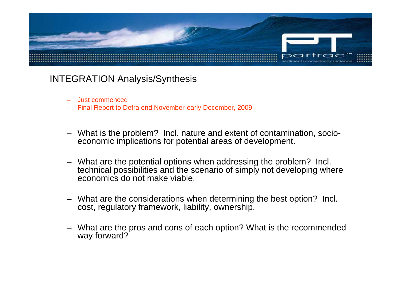

## INTEGRATION Analysis/Synthesis

- Just commenced
- Final Report to Defra end November-early December, 2009
- What is the problem? Incl. nature and extent of contamination, socioeconomic implications for potential areas of development.
- What are the potential options when addressing the problem? Incl. technical possibilities and the scenario of simply not developing where economics do not make viable.
- What are the considerations when determining the best option? Incl. cost, regulatory framework, liability, ownership.
- What are the pros and cons of each option? What is the recommended way forward?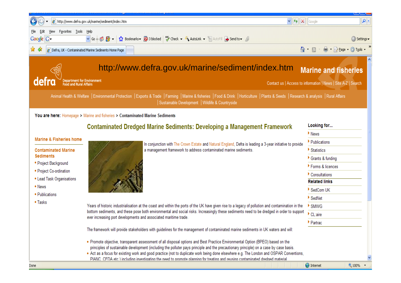

Done